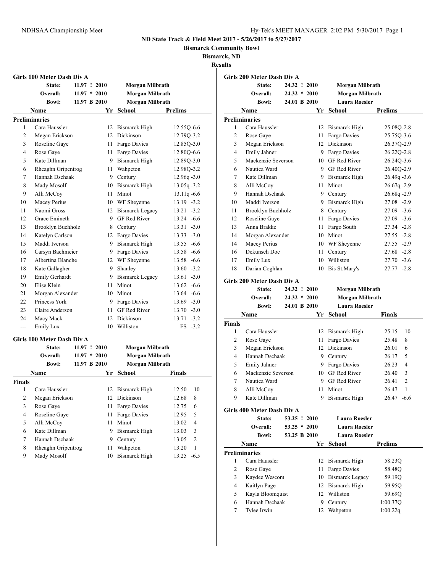**Bismarck Community Bowl**

**Bismarck, ND**

|                         | <b>Girls 100 Meter Dash Div A</b> |                |      |                        |                                  |
|-------------------------|-----------------------------------|----------------|------|------------------------|----------------------------------|
|                         | State:                            | 11.97 ! 2010   |      | Morgan Milbrath        |                                  |
|                         | Overall:                          | $11.97 * 2010$ |      | <b>Morgan Milbrath</b> |                                  |
|                         | <b>Bowl:</b>                      | 11.97 B 2010   |      | Morgan Milbrath        |                                  |
|                         | <b>Name</b>                       |                | Yr   | School                 | <b>Prelims</b>                   |
|                         | <b>Preliminaries</b>              |                |      |                        |                                  |
| 1                       | Cara Haussler                     |                | 12   | <b>Bismarck High</b>   | 12.55Q-6.6                       |
| 2                       | Megan Erickson                    |                |      | 12 Dickinson           | 12.79Q-3.2                       |
| 3                       | Roseline Gaye                     |                |      | 11 Fargo Davies        | 12.85Q-3.0                       |
| 4                       | Rose Gaye                         |                | 11 - | Fargo Davies           | 12.80Q-6.6                       |
| 5                       | Kate Dillman                      |                |      | 9 Bismarck High        | 12.89Q-3.0                       |
| 6                       | Rheaghn Gripentrog                |                | 11 - | Wahpeton               | 12.98Q-3.2                       |
| 7                       | Hannah Dschaak                    |                |      | 9 Century              | $12.96q - 3.0$                   |
| 8                       | Mady Mosolf                       |                |      | 10 Bismarck High       | $13.05q - 3.2$                   |
| 9                       | Alli McCoy                        |                |      | 11 Minot               | $13.11q - 6.6$                   |
| 10                      | Macey Perius                      |                |      | 10 WF Sheyenne         | $13.19 - 3.2$                    |
| 11                      | Naomi Gross                       |                |      | 12 Bismarck Legacy     | $13.21 - 3.2$                    |
| 12                      | Grace Emineth                     |                |      | 9 GF Red River         | $13.24 - 6.6$                    |
| 13                      | <b>Brooklyn Buchholz</b>          |                |      | 8 Century              | $13.31 - 3.0$                    |
| 14                      | Katelyn Carlson                   |                |      | 12 Fargo Davies        | $13.33 - 3.0$                    |
| 15                      | Maddi Iverson                     |                |      | 9 Bismarck High        | $13.55 - 6.6$                    |
| 16                      | Carsyn Bachmeier                  |                |      | 9 Fargo Davies         | $13.58 - 6.6$                    |
| 17                      | Albertina Blanche                 |                |      | 12 WF Sheyenne         | $13.58 - 6.6$                    |
| 18                      | Kate Gallagher                    |                | 9.   | Shanley                | $13.60 - 3.2$                    |
| 19                      | Emily Gerhardt                    |                |      | 9 Bismarck Legacy      | $13.61 - 3.0$                    |
| 20                      | Elise Klein                       |                | 11 - | Minot                  | $13.62 - 6.6$                    |
| 21                      | Morgan Alexander                  |                |      | 10 Minot               | $13.64 - 6.6$                    |
| 22                      | Princess York                     |                |      | 9 Fargo Davies         | $13.69 - 3.0$                    |
| 23                      | Claire Anderson                   |                |      | 11 GF Red River        | $13.70 - 3.0$                    |
| 24                      | Macy Mack                         |                |      | 12 Dickinson           | $13.71 - 3.2$                    |
| $\overline{a}$          | Emily Lux                         |                |      | 10 Williston           | $FS -3.2$                        |
|                         | Girls 100 Meter Dash Div A        |                |      |                        |                                  |
|                         | State:                            | 11.97 ! 2010   |      | Morgan Milbrath        |                                  |
|                         | Overall:                          | $11.97 * 2010$ |      | Morgan Milbrath        |                                  |
|                         | <b>Bowl:</b>                      | 11.97 B 2010   |      | Morgan Milbrath        |                                  |
|                         | Name                              |                |      | Yr School              | Finals                           |
| <b>Finals</b>           |                                   |                |      |                        |                                  |
| 1                       | Cara Haussler                     |                |      | 12 Bismarck High       | 12.50<br>10                      |
| $\mathbf{2}$            | Megan Erickson                    |                | 12   | Dickinson              | 12.68<br>8                       |
| 3                       | Rose Gaye                         |                | 11   | Fargo Davies           | 6<br>12.75                       |
| $\overline{\mathbf{4}}$ | Roseline Gaye                     |                | 11   | Fargo Davies           | 5<br>12.95                       |
| 5                       | Alli McCoy                        |                | 11   | Minot                  | $\overline{\mathbf{4}}$<br>13.02 |
| 6                       | Kate Dillman                      |                | 9.   | Bismarck High          | 3<br>13.03                       |
| 7                       | Hannah Dschaak                    |                | 9.   | Century                | $\mathfrak{2}$<br>13.05          |
| 8                       | Rheaghn Gripentrog                |                | 11   | Wahpeton               | $\mathbf{1}$<br>13.20            |
| 9                       | Mady Mosolf                       |                | 10   | <b>Bismarck High</b>   | $-6.5$<br>13.25                  |

|                | Girls 200 Meter Dash Div A |                |                        |                |
|----------------|----------------------------|----------------|------------------------|----------------|
|                | State:                     | 24.32 ! 2010   | Morgan Milbrath        |                |
|                | Overall:                   | $24.32 * 2010$ | <b>Morgan Milbrath</b> |                |
|                | <b>Bowl:</b>               | 24.01 B 2010   | <b>Laura Roesler</b>   |                |
|                | Name                       | Yr             | <b>School</b>          | <b>Prelims</b> |
|                | <b>Preliminaries</b>       |                |                        |                |
| 1              | Cara Haussler              | $12^{\circ}$   | Bismarck High          | 25.080-2.8     |
| $\overline{2}$ | Rose Gaye                  | 11             | Fargo Davies           | 25.75Q-3.6     |
| 3              | Megan Erickson             | 12             | Dickinson              | 26.370-2.9     |
| $\overline{4}$ | Emily Jahner               | 9              | Fargo Davies           | 26.22Q-2.8     |
| 5              | Mackenzie Severson         | $10-10$        | <b>GF Red River</b>    | 26.24Q-3.6     |
| 6              | Nautica Ward               | 9              | <b>GF</b> Red River    | 26.40Q-2.9     |
| 7              | Kate Dillman               | 9              | Bismarck High          | $26.49q - 3.6$ |
| 8              | Alli McCoy                 | 11             | Minot                  | $26.67q - 2.9$ |
| 9              | Hannah Dschaak             | 9              | Century                | $26.68q - 2.9$ |
| 10             | Maddi Iverson              | 9              | <b>Bismarck High</b>   | $27.08 - 2.9$  |
| 11             | <b>Brooklyn Buchholz</b>   | 8              | Century                | $27.09 - 3.6$  |
| 12             | Roseline Gaye              | 11             | Fargo Davies           | $27.09 - 3.6$  |
| 13             | Anna Brakke                | 11             | Fargo South            | $27.34 -2.8$   |
| 14             | Morgan Alexander           | 10             | Minot                  | $27.55 - 2.8$  |
| 14             | Macey Perius               | 10             | WF Sheyenne            | $27.55 - 2.9$  |
| 16             | Dekunseh Doe               | 11             | Century                | $27.68 - 2.8$  |
| 17             | Emily Lux                  | 10             | Williston              | $27.70 - 3.6$  |
| 18             | Darian Coghlan             | 10             | Bis St.Mary's          | $27.77 - 2.8$  |

## **Girls 200 Meter Dash Div A**

|                | State:                     | 24.32 ! 2010   |    | Morgan Milbrath        |                         |
|----------------|----------------------------|----------------|----|------------------------|-------------------------|
|                | Overall:                   | $24.32 * 2010$ |    | Morgan Milbrath        |                         |
|                | <b>Bowl:</b>               | 24.01 B 2010   |    | <b>Laura Roesler</b>   |                         |
|                | Name                       |                | Yr | <b>School</b>          | <b>Finals</b>           |
| <b>Finals</b>  |                            |                |    |                        |                         |
| 1              | Cara Haussler              |                | 12 | Bismarck High          | 25.15<br>10             |
| $\overline{2}$ | Rose Gaye                  |                | 11 | Fargo Davies           | 8<br>25.48              |
| 3              | Megan Erickson             |                | 12 | Dickinson              | 26.01<br>6              |
| 4              | Hannah Dschaak             |                | 9  | Century                | 5<br>26.17              |
| 5              | Emily Jahner               |                | 9  | Fargo Davies           | 4<br>26.23              |
| 6              | Mackenzie Severson         |                | 10 | <b>GF Red River</b>    | 3<br>26.40              |
| 7              | Nautica Ward               |                | 9  | <b>GF</b> Red River    | $\overline{c}$<br>26.41 |
| 8              | Alli McCoy                 |                | 11 | Minot                  | 26.47<br>1              |
| 9              | Kate Dillman               |                | 9  | Bismarck High          | $26.47 - 6.6$           |
|                | Girls 400 Meter Dash Div A |                |    |                        |                         |
|                | State:                     | 53.25 ! 2010   |    | <b>Laura Roesler</b>   |                         |
|                | Overall:                   | $53.25 * 2010$ |    | <b>Laura Roesler</b>   |                         |
|                | <b>Bowl:</b>               | 53.25 B 2010   |    | <b>Laura Roesler</b>   |                         |
|                | Name                       |                | Yr | <b>School</b>          | <b>Prelims</b>          |
|                | <b>Preliminaries</b>       |                |    |                        |                         |
| 1              | Cara Haussler              |                | 12 | Bismarck High          | 58.23Q                  |
| $\overline{c}$ | Rose Gaye                  |                | 11 | Fargo Davies           | 58.48Q                  |
| 3              | Kaydee Wescom              |                | 10 | <b>Bismarck Legacy</b> | 59.19Q                  |
| $\overline{4}$ | Kaitlyn Page               |                | 12 | Bismarck High          | 59.95Q                  |
| 5              | Kayla Bloomquist           |                | 12 | Williston              | 59.69Q                  |
| 6              | Hannah Dschaak             |                | 9  | Century                | 1:00.370                |

Tylee Irwin 12 Wahpeton 1:00.22q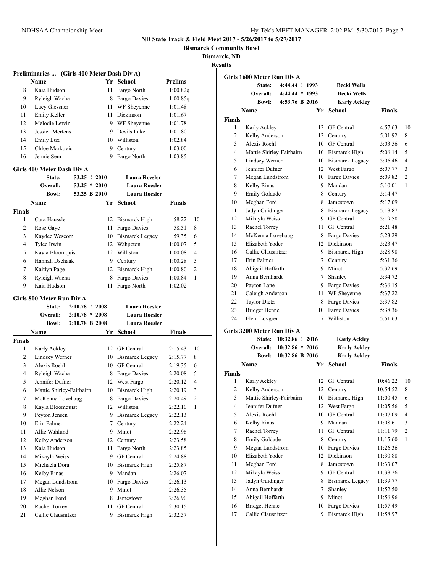**Bismarck Community Bowl**

**Bismarck, ND**

**Results**

|               | Preliminaries  (Girls 400 Meter Dash Div A) |                                    |      |                                              |                |    |
|---------------|---------------------------------------------|------------------------------------|------|----------------------------------------------|----------------|----|
|               | Name                                        |                                    |      | Yr School                                    | <b>Prelims</b> |    |
| 8             | Kaia Hudson                                 |                                    | 11   | Fargo North                                  | 1:00.82q       |    |
| 9             | Ryleigh Wacha                               |                                    | 8    | Fargo Davies                                 | 1:00.85q       |    |
| 10            | Lucy Glessner                               |                                    | 11 - | WF Sheyenne                                  | 1:01.48        |    |
| 11            | Emily Keller                                |                                    | 11   | Dickinson                                    | 1:01.67        |    |
| 12            | Melodie Letvin                              |                                    |      | 9 WF Sheyenne                                | 1:01.78        |    |
| 13            | Jessica Mertens                             |                                    | 9    | Devils Lake                                  | 1:01.80        |    |
| 14            | <b>Emily Lux</b>                            |                                    |      | 10 Williston                                 | 1:02.84        |    |
| 15            | Chloe Markovic                              |                                    | 9    | Century                                      | 1:03.00        |    |
| 16            | Jennie Sem                                  |                                    | 9    | Fargo North                                  | 1:03.85        |    |
|               | Girls 400 Meter Dash Div A                  |                                    |      |                                              |                |    |
|               | State:                                      | 53.25 ! 2010                       |      | <b>Laura Roesler</b>                         |                |    |
|               | Overall:                                    | $53.25 * 2010$                     |      | <b>Laura Roesler</b>                         |                |    |
|               | <b>Bowl:</b>                                | 53.25 B 2010                       |      | <b>Laura Roesler</b>                         |                |    |
|               | Name                                        |                                    | Yr   | School                                       | <b>Finals</b>  |    |
| <b>Finals</b> |                                             |                                    |      |                                              |                |    |
| 1             | Cara Haussler                               |                                    | 12   | Bismarck High                                | 58.22          | 10 |
| 2             | Rose Gaye                                   |                                    | 11   | Fargo Davies                                 | 58.51          | 8  |
| 3             | Kaydee Wescom                               |                                    | 10   | <b>Bismarck Legacy</b>                       | 59.35          | 6  |
| 4             | Tylee Irwin                                 |                                    | 12   | Wahpeton                                     | 1:00.07        | 5  |
| 5             | Kayla Bloomquist                            |                                    | 12   | Williston                                    | 1:00.08        | 4  |
| 6             | Hannah Dschaak                              |                                    | 9    | Century                                      | 1:00.28        | 3  |
| 7             | Kaitlyn Page                                |                                    | 12   | <b>Bismarck High</b>                         | 1:00.80        | 2  |
| 8             | Ryleigh Wacha                               |                                    | 8    | Fargo Davies                                 | 1:00.84        | 1  |
| 9             | Kaia Hudson                                 |                                    | 11   | Fargo North                                  | 1:02.02        |    |
|               |                                             |                                    |      |                                              |                |    |
|               | Girls 800 Meter Run Div A                   |                                    |      |                                              |                |    |
|               | State:<br>Overall:                          | 2:10.78 ! 2008<br>$2:10.78 * 2008$ |      | <b>Laura Roesler</b><br><b>Laura Roesler</b> |                |    |
|               | <b>Bowl:</b>                                | 2:10.78 B 2008                     |      | <b>Laura Roesler</b>                         |                |    |
|               | <b>Name</b>                                 |                                    | Yr   | School                                       | <b>Finals</b>  |    |
| <b>Finals</b> |                                             |                                    |      |                                              |                |    |
| 1             | Karly Ackley                                |                                    |      | 12 GF Central                                | 2:15.43        | 10 |
| 2             | Lindsey Werner                              |                                    |      | 10 Bismarck Legacy                           | 2:15.77        | 8  |
| 3             | Alexis Roehl                                |                                    | 10   | GF Central                                   | 2:19.35        | 6  |
| 4             | Ryleigh Wacha                               |                                    | 8    | Fargo Davies                                 | 2:20.08        | 5  |
| 5             | Jennifer Dufner                             |                                    | 12   | West Fargo                                   | 2:20.12        | 4  |
| 6             | Mattie Shirley-Fairbairn                    |                                    |      | 10 Bismarck High                             | 2:20.19        | 3  |
| 7             | McKenna Lovehaug                            |                                    | 8    | Fargo Davies                                 | 2:20.49        | 2  |
| 8             | Kayla Bloomquist                            |                                    | 12   | Williston                                    | 2:22.10        | 1  |
| 9             | Peyton Jensen                               |                                    | 9    | <b>Bismarck Legacy</b>                       | 2:22.13        |    |
| 10            | Erin Palmer                                 |                                    | 7    | Century                                      | 2:22.24        |    |
| 11            | Allie Wahlund                               |                                    | 9    | Minot                                        | 2:22.96        |    |
| 12            | Kelby Anderson                              |                                    | 12   | Century                                      | 2:23.58        |    |
| 13            | Kaia Hudson                                 |                                    | 11   | Fargo North                                  | 2:23.85        |    |
| 14            | Mikayla Weiss                               |                                    | 9.   | GF Central                                   | 2:24.88        |    |
| 15            | Michaela Dora                               |                                    | 10   | <b>Bismarck High</b>                         | 2:25.87        |    |
| 16            | Kelby Rinas                                 |                                    | 9    | Mandan                                       | 2:26.07        |    |
| 17            | Megan Lundstrom                             |                                    | 10   | Fargo Davies                                 | 2:26.13        |    |
| 18            | Allie Nelson                                |                                    | 9    | Minot                                        | 2:26.35        |    |
| 19            | Meghan Ford                                 |                                    | 8    | Jamestown                                    | 2:26.90        |    |
| 20            | Rachel Torrey                               |                                    | 11   | GF Central                                   | 2:30.15        |    |
| 21            | Callie Clausnitzer                          |                                    | 9    | <b>Bismarck High</b>                         | 2:32.57        |    |

|                          | Girls 1600 Meter Run Div A |                 |     |                     |               |                |
|--------------------------|----------------------------|-----------------|-----|---------------------|---------------|----------------|
|                          | State:                     | 4:44.44 ! 1993  |     | <b>Becki Wells</b>  |               |                |
|                          | Overall:                   | 4:44.44 * 1993  |     | <b>Becki Wells</b>  |               |                |
|                          | <b>Bowl:</b>               | 4:53.76 B 2016  |     | <b>Karly Ackley</b> |               |                |
|                          | Name                       |                 | Yr  | <b>School</b>       | <b>Finals</b> |                |
| <b>Finals</b>            |                            |                 |     |                     |               |                |
| 1                        | Karly Ackley               |                 | 12  | <b>GF</b> Central   | 4:57.63       | 10             |
| 2                        | Kelby Anderson             |                 | 12  | Century             | 5:01.92       | 8              |
| 3                        | Alexis Roehl               |                 | 10  | <b>GF</b> Central   | 5:03.56       | 6              |
| $\overline{\mathcal{L}}$ | Mattie Shirley-Fairbairn   |                 |     | 10 Bismarck High    | 5:06.14       | 5              |
| 5                        | Lindsey Werner             |                 |     | 10 Bismarck Legacy  | 5:06.46       | 4              |
| 6                        | Jennifer Dufner            |                 |     | 12 West Fargo       | 5:07.77       | 3              |
| 7                        | Megan Lundstrom            |                 |     | 10 Fargo Davies     | 5:09.82       | $\overline{2}$ |
| 8                        | Kelby Rinas                |                 |     | 9 Mandan            | 5:10.01       | $\mathbf{1}$   |
| 9                        | Emily Goldade              |                 | 8   | Century             | 5:14.47       |                |
| 10                       | Meghan Ford                |                 | 8   | Jamestown           | 5:17.09       |                |
| 11                       | Jadyn Guidinger            |                 |     | 8 Bismarck Legacy   | 5:18.87       |                |
| 12                       | Mikayla Weiss              |                 |     | 9 GF Central        | 5:19.58       |                |
| 13                       | Rachel Torrey              |                 | 11  | <b>GF</b> Central   | 5:21.48       |                |
| 14                       | McKenna Lovehaug           |                 |     | 8 Fargo Davies      | 5:23.29       |                |
| 15                       | Elizabeth Yoder            |                 |     | 12 Dickinson        | 5:23.47       |                |
| 16                       | Callie Clausnitzer         |                 |     | 9 Bismarck High     | 5:28.98       |                |
| 17                       | Erin Palmer                |                 | 7   | Century             | 5:31.36       |                |
| 18                       | Abigail Hoffarth           |                 | 9.  | Minot               | 5:32.69       |                |
| 19                       | Anna Bernhardt             |                 | 7   | Shanley             | 5:34.72       |                |
| 20                       | Payton Lane                |                 | 9   | Fargo Davies        | 5:36.15       |                |
| 21                       | Caleigh Anderson           |                 | 11. | WF Sheyenne         | 5:37.22       |                |
| 22                       | <b>Taylor Dietz</b>        |                 |     | 8 Fargo Davies      | 5:37.82       |                |
| 23                       | <b>Bridget Henne</b>       |                 | 10  | Fargo Davies        | 5:38.36       |                |
| 24                       | Eleni Lovgren              |                 | 7   | Williston           | 5:51.63       |                |
|                          | Girls 3200 Meter Run Div A |                 |     |                     |               |                |
|                          | State:                     | 10:32.86 ! 2016 |     | <b>Karly Ackley</b> |               |                |

|  | State: 10:32.86 ! 2016   | <b>Karly Ackley</b> |
|--|--------------------------|---------------------|
|  | Overall: 10:32.86 * 2016 | Karly Ackley        |

|               | 10:32.86 B 2016<br><b>Bowl:</b> |    | <b>Karly Ackley</b> |               |                |
|---------------|---------------------------------|----|---------------------|---------------|----------------|
|               | Name                            | Yr | School              | <b>Finals</b> |                |
| <b>Finals</b> |                                 |    |                     |               |                |
| 1             | Karly Ackley                    | 12 | <b>GF</b> Central   | 10:46.22      | 10             |
| 2             | Kelby Anderson                  | 12 | Century             | 10:54.52      | 8              |
| 3             | Mattie Shirley-Fairbairn        | 10 | Bismarck High       | 11:00.45      | 6              |
| 4             | Jennifer Dufner                 | 12 | West Fargo          | 11:05.56      | 5              |
| 5             | Alexis Roehl                    | 10 | <b>GF</b> Central   | 11:07.09      | 4              |
| 6             | Kelby Rinas                     | 9  | Mandan              | 11:08.61      | 3              |
| 7             | Rachel Torrey                   | 11 | <b>GF</b> Central   | 11:11.79      | $\overline{2}$ |
| 8             | Emily Goldade                   | 8  | Century             | 11:15.60      | 1              |
| 9             | Megan Lundstrom                 | 10 | Fargo Davies        | 11:26.36      |                |
| 10            | Elizabeth Yoder                 | 12 | Dickinson           | 11:30.88      |                |
| 11            | Meghan Ford                     | 8  | Jamestown           | 11:33.07      |                |
| 12            | Mikayla Weiss                   | 9  | <b>GF</b> Central   | 11:38.26      |                |
| 13            | Jadyn Guidinger                 | 8  | Bismarck Legacy     | 11:39.77      |                |
| 14            | Anna Bernhardt                  | 7  | Shanley             | 11:52.50      |                |
| 15            | Abigail Hoffarth                | 9  | Minot               | 11:56.96      |                |
| 16            | <b>Bridget Henne</b>            | 10 | Fargo Davies        | 11:57.49      |                |
| 17            | Callie Clausnitzer              | 9  | Bismarck High       | 11:58.97      |                |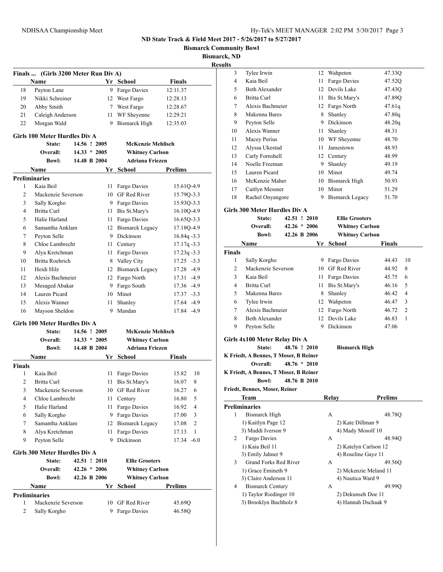**Bismarck Community Bowl**

**Bismarck, ND**

**Results**

|                    | Finals  (Girls 3200 Meter Run Div A)           |                | Yr School                | <b>Finals</b>  |
|--------------------|------------------------------------------------|----------------|--------------------------|----------------|
| 18                 | Name                                           | 9.             |                          |                |
|                    | Payton Lane<br>Nikki Schreiner                 |                | Fargo Davies             | 12:11.37       |
| 19<br>20           |                                                | 12             | West Fargo               | 12:28.13       |
|                    | Abby Smith                                     |                | 7 West Fargo             | 12:28.67       |
| 21                 | Caleigh Anderson                               | 11             | WF Sheyenne              | 12:29.21       |
| 22                 | Morgan Wald                                    | 9              | <b>Bismarck High</b>     | 12:35.03       |
|                    | <b>Girls 100 Meter Hurdles Div A</b><br>State: | 14.56 ! 2005   |                          |                |
|                    | Overall:                                       | $14.33 * 2005$ | <b>McKenzie Mehlisch</b> |                |
|                    |                                                |                | <b>Whitney Carlson</b>   |                |
|                    | <b>Bowl:</b>                                   | 14.48 B 2004   | <b>Adriana Friezen</b>   |                |
|                    | Name                                           |                | Yr School                | <b>Prelims</b> |
|                    | <b>Preliminaries</b>                           |                |                          |                |
| 1                  | Kaia Beil                                      | 11             | Fargo Davies             | 15.61Q-4.9     |
| $\overline{c}$     | Mackenzie Severson                             | 10             | <b>GF</b> Red River      | 15.79Q-3.3     |
| 3                  | Sally Korgho                                   | 9              | Fargo Davies             | 15.93Q-3.3     |
| 4                  | <b>Britta Curl</b>                             | 11             | Bis St.Mary's            | 16.10Q-4.9     |
| 5                  | Halie Harland                                  | 11             | Fargo Davies             | 16.65Q-3.3     |
| 6                  | Samantha Anklam                                | 12             | <b>Bismarck Legacy</b>   | 17.18Q-4.9     |
| 7                  | Peyton Selle                                   | 9              | Dickinson                | $16.84q - 3.3$ |
| 8                  | Chloe Lambrecht                                | 11             | Century                  | $17.17q - 3.3$ |
| 9                  | Alya Kretchman                                 | 11             | Fargo Davies             | $17.23q - 3.3$ |
| 10                 | <b>Britta Roehrich</b>                         | 8              | Valley City              | $17.25 - 3.3$  |
| 11                 | Heidi Hilz                                     | 12             | <b>Bismarck Legacy</b>   | 17.28 -4.9     |
| 12                 | Alexis Bachmeier                               | 12             | Fargo North              | 17.31 -4.9     |
| 13                 | Mesaged Abakar                                 | 9              | Fargo South              | 17.36 -4.9     |
| 14                 | Lauren Picard                                  | 10             | Minot                    | 17.37 -3.3     |
| 15                 | Alexis Wanner                                  | 11.            | Shanley                  | 17.64 -4.9     |
| 16                 | Mayson Sheldon                                 | 9              | Mandan                   | 17.84 -4.9     |
|                    | <b>Girls 100 Meter Hurdles Div A</b>           |                |                          |                |
|                    | State:                                         | 14.56 ! 2005   | <b>McKenzie Mehlisch</b> |                |
|                    |                                                |                |                          |                |
|                    | Overall:                                       | $14.33 * 2005$ | <b>Whitney Carlson</b>   |                |
|                    | <b>Bowl:</b>                                   | 14.48 B 2004   | <b>Adriana Friezen</b>   |                |
|                    | <b>Name</b>                                    | Yr             | School                   | Finals         |
|                    |                                                |                |                          |                |
| 1                  | Kaia Beil                                      | 11             | Fargo Davies             | 10<br>15.82    |
| 2                  | Britta Curl                                    | 11             | Bis St.Mary's            | 8<br>16.07     |
| 3                  | Mackenzie Severson                             |                | 10 GF Red River          | 16.27<br>6     |
| 4                  | Chloe Lambrecht                                | 11             | Century                  | 16.80<br>5     |
| 5                  | Halie Harland                                  | 11             | Fargo Davies             | 4<br>16.92     |
| 6                  | Sally Korgho                                   | 9              | Fargo Davies             | 3<br>17.00     |
| <b>Finals</b><br>7 | Samantha Anklam                                | 12             | <b>Bismarck Legacy</b>   | 2<br>17.08     |
| 8                  | Alya Kretchman                                 | 11             | Fargo Davies             | 17.13<br>1     |
| 9                  | Peyton Selle                                   | 9              | Dickinson                | $17.34 - 6.0$  |
|                    | Girls 300 Meter Hurdles Div A                  |                |                          |                |
|                    | State:                                         | 42.51 ! 2010   | <b>Ellie Grooters</b>    |                |
|                    | Overall:                                       | $42.26 * 2006$ | <b>Whitney Carlson</b>   |                |
|                    | <b>Bowl:</b>                                   | 42.26 B 2006   | <b>Whitney Carlson</b>   |                |
|                    | Name                                           |                | Yr School                | <b>Prelims</b> |
|                    | <b>Preliminaries</b>                           |                |                          |                |
| 1                  | Mackenzie Severson                             | 10             | GF Red River             | 45.69Q         |

| 3             | Tylee Irwin                                           |                | 12   | Wahpeton               | 47.33Q         |
|---------------|-------------------------------------------------------|----------------|------|------------------------|----------------|
| 4             | Kaia Beil                                             |                |      | 11 Fargo Davies        | 47.52Q         |
| 5             | <b>Beth Alexander</b>                                 |                |      | 12 Devils Lake         | 47.43Q         |
| 6             | Britta Curl                                           |                |      | 11 Bis St.Mary's       | 47.89Q         |
| 7             | Alexis Bachmeier                                      |                |      | 12 Fargo North         | 47.61q         |
| 8             | Makenna Bares                                         |                | 8    | Shanley                | 47.80q         |
| 9             | Peyton Selle                                          |                |      | 9 Dickinson            | 48.20q         |
| 10            | Alexis Wanner                                         |                | 11 - | Shanley                | 48.31          |
| 11            | Macey Perius                                          |                |      | 10 WF Sheyenne         | 48.70          |
| 12            | Alyssa Ukestad                                        |                |      | 11 Jamestown           | 48.93          |
| 13            | Carly Fornshell                                       |                |      | 12 Century             | 48.99          |
| 14            | Noelle Freeman                                        |                |      | 9 Shanley              | 49.19          |
| 15            | Lauren Picard                                         |                |      | 10 Minot               | 49.74          |
| 16            | McKenzie Maher                                        |                |      | 10 Bismarck High       | 50.93          |
| 17            | Caitlyn Messner                                       |                |      | 10 Minot               | 51.29          |
| 18            | Rachel Onyangore                                      |                | 9    | <b>Bismarck Legacy</b> | 51.70          |
|               | <b>Girls 300 Meter Hurdles Div A</b>                  |                |      |                        |                |
|               | State:                                                | 42.51 ! 2010   |      | <b>Ellie Grooters</b>  |                |
|               | Overall:                                              | $42.26 * 2006$ |      | <b>Whitney Carlson</b> |                |
|               | <b>Bowl:</b>                                          | 42.26 B 2006   |      | <b>Whitney Carlson</b> |                |
|               | Name                                                  |                | Yr   | School                 | Finals         |
| <b>Finals</b> |                                                       |                |      |                        |                |
| 1             | Sally Korgho                                          |                | 9    | Fargo Davies           | 10<br>44.43    |
| 2             | Mackenzie Severson                                    |                |      | 10 GF Red River        | 8<br>44.92     |
| 3             | Kaia Beil                                             |                |      | 11 Fargo Davies        | 45.75<br>6     |
| 4             | Britta Curl                                           |                | 11   | Bis St.Mary's          | 46.16<br>5     |
| 5             | Makenna Bares                                         |                |      | 8 Shanley              | 4<br>46.42     |
| 6             | Tylee Irwin                                           |                |      | 12 Wahpeton            | 3<br>46.47     |
| 7             | Alexis Bachmeier                                      |                |      | 12 Fargo North         | 46.72<br>2     |
| 8             | <b>Beth Alexander</b>                                 |                |      | 12 Devils Lake         | 1<br>46.83     |
| 9             | Peyton Selle                                          |                | 9    | Dickinson              | 47.06          |
|               |                                                       |                |      |                        |                |
|               | Girls 4x100 Meter Relay Div A                         |                |      |                        |                |
|               | State:                                                | 48.76 ! 2010   |      | <b>Bismarck High</b>   |                |
|               | K Friedt, A Bennes, T Moser, B Reiner                 |                |      |                        |                |
|               | Overall:                                              | $48.76 * 2010$ |      |                        |                |
|               | K Friedt, A Bennes, T Moser, B Reiner<br><b>Bowl:</b> | 48.76 B 2010   |      |                        |                |
|               | Friedt, Bennes, Moser, Reiner                         |                |      |                        |                |
|               | <b>Team</b>                                           |                |      | <b>Relay</b>           | <b>Prelims</b> |
|               | <b>Preliminaries</b>                                  |                |      |                        |                |
| 1             | <b>Bismarck High</b>                                  |                |      | А                      | 48.78Q         |
|               | 1) Kaitlyn Page 12                                    |                |      | 2) Kate Dillman 9      |                |
|               | 3) Maddi Iverson 9                                    |                |      | 4) Mady Mosolf 10      |                |
| 2             | Fargo Davies                                          |                |      | A                      | 48.94Q         |
|               | 1) Kaia Beil 11                                       |                |      | 2) Katelyn Carlson 12  |                |
|               | 3) Emily Jahner 9                                     |                |      | 4) Roseline Gaye 11    |                |
|               |                                                       |                |      |                        |                |
| 3             | Grand Forks Red River                                 |                |      | А                      | 49.56Q         |
|               | 1) Grace Emineth 9                                    |                |      | 2) Mckenzie Meland 11  |                |
|               | 3) Claire Anderson 11                                 |                |      | 4) Nautica Ward 9      |                |
| 4             | <b>Bismarck Century</b>                               |                |      | А                      | 49.99O         |
|               | 1) Taylor Riedinger 10                                |                |      | 2) Dekunseh Doe 11     |                |
|               | 3) Brooklyn Buchholz 8                                |                |      | 4) Hannah Dschaak 9    |                |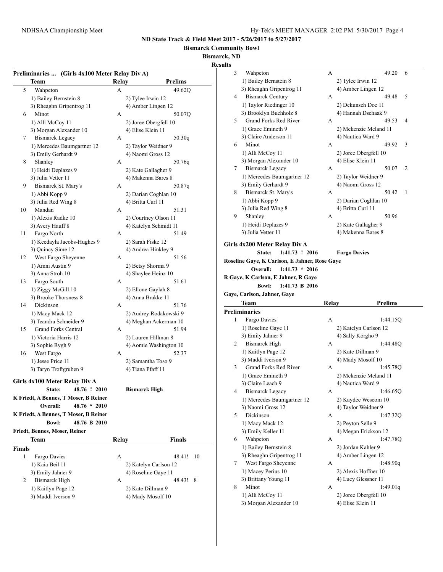**Bismarck Community Bowl**

**Bismarck, ND**

|               |                                                |       |                                        | <b>Results</b>                                    |       |                       |
|---------------|------------------------------------------------|-------|----------------------------------------|---------------------------------------------------|-------|-----------------------|
|               | Preliminaries  (Girls 4x100 Meter Relay Div A) |       |                                        | 3<br>Wahpeton                                     | A     | 49.20                 |
|               | <b>Team</b>                                    | Relay | <b>Prelims</b>                         | 1) Bailey Bernstein 8                             |       | 2) Tylee Irwin 12     |
| 5             | Wahpeton                                       | A     | 49.62Q                                 | 3) Rheaghn Gripentrog 11                          |       | 4) Amber Lingen 12    |
|               | 1) Bailey Bernstein 8                          |       | 2) Tylee Irwin 12                      | <b>Bismarck Century</b><br>4                      | A     | 49.48                 |
|               | 3) Rheaghn Gripentrog 11                       |       | 4) Amber Lingen 12                     | 1) Taylor Riedinger 10                            |       | 2) Dekunseh Doe 11    |
| 6             | Minot                                          | A     | 50.07Q                                 | 3) Brooklyn Buchholz 8                            |       | 4) Hannah Dschaak 9   |
|               | 1) Alli McCoy 11                               |       | 2) Joree Obergfell 10                  | Grand Forks Red River<br>5                        | A     | 49.53                 |
|               | 3) Morgan Alexander 10                         |       | 4) Elise Klein 11                      | 1) Grace Emineth 9                                |       | 2) Mckenzie Meland 11 |
| 7             | <b>Bismarck Legacy</b>                         | A     | 50.30q                                 | 3) Claire Anderson 11                             |       | 4) Nautica Ward 9     |
|               | 1) Mercedes Baumgartner 12                     |       | 2) Taylor Weidner 9                    | Minot<br>6                                        | A     | 49.92                 |
|               | 3) Emily Gerhardt 9                            |       | 4) Naomi Gross 12                      | 1) Alli McCoy 11                                  |       | 2) Joree Obergfell 10 |
| 8             | Shanley                                        | A     | 50.76q                                 | 3) Morgan Alexander 10                            |       | 4) Elise Klein 11     |
|               | 1) Heidi Deplazes 9                            |       | 2) Kate Gallagher 9                    | <b>Bismarck Legacy</b><br>7                       | А     | 50.07                 |
|               | 3) Julia Vetter 11                             |       | 4) Makenna Bares 8                     | 1) Mercedes Baumgartner 12                        |       | 2) Taylor Weidner 9   |
| 9             | Bismarck St. Mary's                            | A     | 50.87q                                 | 3) Emily Gerhardt 9                               |       | 4) Naomi Gross 12     |
|               | 1) Abbi Kopp 9                                 |       | 2) Darian Coghlan 10                   | Bismarck St. Mary's<br>8                          | A     | 50.42                 |
|               | 3) Julia Red Wing 8                            |       | 4) Britta Curl 11                      | 1) Abbi Kopp 9                                    |       | 2) Darian Coghlan 10  |
| 10            | Mandan                                         | А     | 51.31                                  | 3) Julia Red Wing 8                               |       | 4) Britta Curl 11     |
|               | 1) Alexis Radke 10                             |       | 2) Courtney Olson 11                   | Shanley<br>9                                      | А     | 50.96                 |
|               | 3) Avery Hauff 8                               |       | 4) Katelyn Schmidt 11                  | 1) Heidi Deplazes 9                               |       | 2) Kate Gallagher 9   |
| 11            | Fargo North                                    | A     | 51.49                                  | 3) Julia Vetter 11                                |       | 4) Makenna Bares 8    |
|               | 1) Keedayla Jacobs-Hughes 9                    |       | 2) Sarah Fiske 12                      |                                                   |       |                       |
|               | 3) Quincy Sime 12                              |       | 4) Andrea Hinkley 9                    | Girls 4x200 Meter Relay Div A<br>$1:41.73$ ! 2016 |       |                       |
| 12            | West Fargo Sheyenne                            | A     | 51.56                                  | <b>State:</b>                                     |       | <b>Fargo Davies</b>   |
|               | 1) Amni Austin 9                               |       | 2) Betsy Shorma 9                      | Roseline Gaye, K Carlson, E Jahner, Rose Gaye     |       |                       |
|               | 3) Anna Stroh 10                               |       | 4) Shaylee Heinz 10                    | Overall:<br>$1:41.73 * 2016$                      |       |                       |
| 13            | Fargo South                                    | А     | 51.61                                  | R Gaye, K Carlson, E Jahner, R Gaye               |       |                       |
|               | 1) Ziggy McGill 10                             |       | 2) Ellone Gaylah 8                     | <b>Bowl:</b><br>1:41.73 B 2016                    |       |                       |
|               | 3) Brooke Thorsness 8                          |       | 4) Anna Brakke 11                      | Gaye, Carlson, Jahner, Gaye                       |       |                       |
| 14            | Dickinson                                      | А     | 51.76                                  | <b>Team</b>                                       | Relay | <b>Prelims</b>        |
|               | 1) Macy Mack 12                                |       | 2) Audrey Rodakowski 9                 | Preliminaries                                     |       |                       |
|               | 3) Teandra Schneider 9                         |       | 4) Meghan Ackerman 10                  | Fargo Davies<br>1                                 | A     | 1:44.15Q              |
| 15            | Grand Forks Central                            | A     | 51.94                                  | 1) Roseline Gaye 11                               |       | 2) Katelyn Carlson 12 |
|               | 1) Victoria Harris 12                          |       | 2) Lauren Hillman 8                    | 3) Emily Jahner 9                                 |       | 4) Sally Korgho 9     |
|               | 3) Sophie Rygh 9                               |       | 4) Aomie Washington 10                 | <b>Bismarck High</b><br>2                         | A     | 1:44.480              |
| 16            | West Fargo                                     | A     | 52.37                                  | 1) Kaitlyn Page 12                                |       | 2) Kate Dillman 9     |
|               | 1) Jesse Price 11                              |       | 2) Samantha Toso 9                     | 3) Maddi Iverson 9                                |       | 4) Mady Mosolf 10     |
|               | 3) Taryn Troftgruben 9                         |       | 4) Tiana Pfaff 11                      | Grand Forks Red River<br>3                        | А     | 1:45.78Q              |
|               |                                                |       |                                        | 1) Grace Emineth 9                                |       | 2) Mckenzie Meland 11 |
|               | Girls 4x100 Meter Relay Div A                  |       |                                        | 3) Claire Leach 9                                 |       | 4) Nautica Ward 9     |
|               | 48.76 ! 2010<br>State:                         |       | <b>Bismarck High</b>                   | <b>Bismarck Legacy</b><br>4                       | A     | 1:46.65Q              |
|               | K Friedt, A Bennes, T Moser, B Reiner          |       |                                        | 1) Mercedes Baumgartner 12                        |       | 2) Kaydee Wescom 10   |
|               |                                                |       |                                        | 3) Naomi Gross 12                                 |       | 4) Taylor Weidner 9   |
|               | Overall:<br>48.76 * 2010                       |       |                                        |                                                   |       | 1:47.32Q              |
|               | K Friedt, A Bennes, T Moser, B Reiner          |       |                                        | Dickinson<br>5                                    | А     |                       |
|               | <b>Bowl:</b><br>48.76 B 2010                   |       |                                        | 1) Macy Mack 12                                   |       | 2) Peyton Selle 9     |
|               | Friedt, Bennes, Moser, Reiner                  |       |                                        | 3) Emily Keller 11                                |       | 4) Megan Erickson 12  |
|               | <b>Team</b>                                    | Relay |                                        | Wahpeton<br>6                                     | A     | 1:47.78Q              |
|               |                                                |       | Finals                                 | 1) Bailey Bernstein 8                             |       | 2) Jordan Kahler 9    |
|               |                                                |       |                                        | 3) Rheaghn Gripentrog 11                          |       | 4) Amber Lingen 12    |
| 1             | Fargo Davies                                   | A     | 48.41! 10                              | West Fargo Sheyenne<br>7                          | A     | 1:48.90q              |
|               | 1) Kaia Beil 11                                |       | 2) Katelyn Carlson 12                  |                                                   |       | 2) Alexis Hoffner 10  |
|               | 3) Emily Jahner 9                              |       | 4) Roseline Gaye 11                    | 1) Macey Perius 10<br>3) Brittany Young 11        |       | 4) Lucy Glessner 11   |
| 2             | <b>Bismarck High</b>                           | A     | 48.43! 8                               | Minot<br>8                                        | A     | 1:49.01q              |
| <b>Finals</b> | 1) Kaitlyn Page 12<br>3) Maddi Iverson 9       |       | 2) Kate Dillman 9<br>4) Mady Mosolf 10 | 1) Alli McCoy 11                                  |       | 2) Joree Obergfell 10 |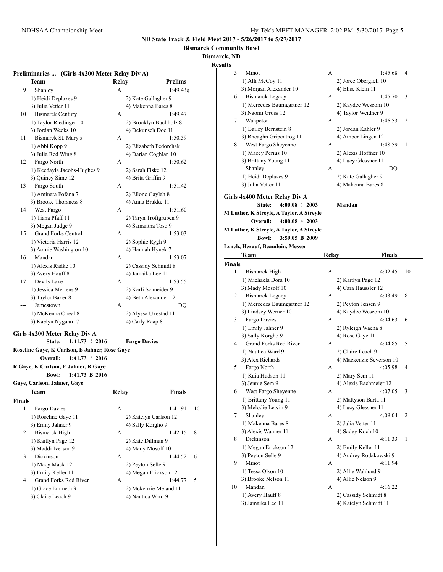**Bismarck Community Bowl**

**Bismarck, ND**

**Results**

|               |                                                |                     |                                            | <b>Results</b> |                                          |       |                                    |                |
|---------------|------------------------------------------------|---------------------|--------------------------------------------|----------------|------------------------------------------|-------|------------------------------------|----------------|
|               | Preliminaries  (Girls 4x200 Meter Relay Div A) |                     |                                            |                | 5<br>Minot                               | A     | 1:45.68                            | $\overline{4}$ |
|               | Team                                           | Relay               | <b>Prelims</b>                             |                | 1) Alli McCoy 11                         |       | 2) Joree Obergfell 10              |                |
| 9             | Shanley                                        | A                   | 1:49.43q                                   |                | 3) Morgan Alexander 10                   |       | 4) Elise Klein 11                  |                |
|               | 1) Heidi Deplazes 9                            |                     | 2) Kate Gallagher 9                        |                | <b>Bismarck Legacy</b><br>6              | A     | 1:45.70<br>$\overline{\mathbf{3}}$ |                |
|               | 3) Julia Vetter 11                             |                     | 4) Makenna Bares 8                         |                | 1) Mercedes Baumgartner 12               |       | 2) Kaydee Wescom 10                |                |
| 10            | <b>Bismarck Century</b>                        | A                   | 1:49.47                                    |                | 3) Naomi Gross 12                        |       | 4) Taylor Weidner 9                |                |
|               | 1) Taylor Riedinger 10                         |                     | 2) Brooklyn Buchholz 8                     |                | 7<br>Wahpeton                            | A     | 1:46.53                            | 2              |
|               | 3) Jordan Weeks 10                             |                     | 4) Dekunseh Doe 11                         |                | 1) Bailey Bernstein 8                    |       | 2) Jordan Kahler 9                 |                |
| 11            | Bismarck St. Mary's                            | A                   | 1:50.59                                    |                | 3) Rheaghn Gripentrog 11                 |       | 4) Amber Lingen 12                 |                |
|               | 1) Abbi Kopp 9                                 |                     | 2) Elizabeth Fedorchak                     |                | West Fargo Sheyenne<br>8                 | A     | 1:48.59<br>- 1                     |                |
|               | 3) Julia Red Wing 8                            |                     | 4) Darian Coghlan 10                       |                | 1) Macey Perius 10                       |       | 2) Alexis Hoffner 10               |                |
| 12            | Fargo North                                    | A                   | 1:50.62                                    |                | 3) Brittany Young 11                     |       | 4) Lucy Glessner 11                |                |
|               | 1) Keedayla Jacobs-Hughes 9                    |                     | 2) Sarah Fiske 12                          |                | Shanley<br>---                           | A     | DQ                                 |                |
|               | 3) Quincy Sime 12                              |                     | 4) Brita Griffin 9                         |                | 1) Heidi Deplazes 9                      |       | 2) Kate Gallagher 9                |                |
| 13            | Fargo South                                    | A                   | 1:51.42                                    |                | 3) Julia Vetter 11                       |       | 4) Makenna Bares 8                 |                |
|               | 1) Aminata Fofana 7                            |                     | 2) Ellone Gaylah 8                         |                | Girls 4x400 Meter Relay Div A            |       |                                    |                |
|               | 3) Brooke Thorsness 8                          |                     | 4) Anna Brakke 11                          |                | $4:00.08$ ! 2003<br>State:               |       | Mandan                             |                |
| 14            | West Fargo                                     | A                   | 1:51.60                                    |                | M Luther, K Streyle, A Taylor, A Streyle |       |                                    |                |
|               | 1) Tiana Pfaff 11                              |                     | 2) Taryn Troftgruben 9                     |                | $4:00.08 * 2003$<br>Overall:             |       |                                    |                |
|               | 3) Megan Judge 9                               |                     | 4) Samantha Toso 9                         |                | M Luther, K Streyle, A Taylor, A Streyle |       |                                    |                |
| 15            | Grand Forks Central                            | A                   | 1:53.03                                    |                | <b>Bowl:</b><br>3:59.05 B 2009           |       |                                    |                |
|               | 1) Victoria Harris 12                          |                     | 2) Sophie Rygh 9                           |                |                                          |       |                                    |                |
|               | 3) Aomie Washington 10                         |                     | 4) Hannah Hynek 7                          |                | Lynch, Herauf, Beaudoin, Messer          |       |                                    |                |
| 16            | Mandan                                         | A                   | 1:53.07                                    |                | Team                                     | Relay | <b>Finals</b>                      |                |
|               | 1) Alexis Radke 10                             |                     | 2) Cassidy Schmidt 8                       |                | Finals                                   |       |                                    |                |
|               | 3) Avery Hauff 8                               |                     | 4) Jamaika Lee 11                          |                | <b>Bismarck High</b><br>1                | A     | 4:02.45                            | 10             |
| 17            | Devils Lake                                    | A                   | 1:53.55                                    |                | 1) Michaela Dora 10                      |       | 2) Kaitlyn Page 12                 |                |
|               | 1) Jessica Mertens 9                           |                     | 2) Karli Schneider 9                       |                | 3) Mady Mosolf 10                        |       | 4) Cara Haussler 12                |                |
|               | 3) Taylor Baker 8                              |                     | 4) Beth Alexander 12                       |                | <b>Bismarck Legacy</b><br>2              | A     | 4:03.49                            | - 8            |
|               | Jamestown                                      | A                   | DQ                                         |                | 1) Mercedes Baumgartner 12               |       | 2) Peyton Jensen 9                 |                |
|               | 1) McKenna Oneal 8                             |                     | 2) Alyssa Ukestad 11                       |                | 3) Lindsey Werner 10                     |       | 4) Kaydee Wescom 10                |                |
|               | 3) Kaelyn Nygaard 7                            |                     | 4) Carly Raap 8                            |                | Fargo Davies<br>3                        | A     | 4:04.63                            | 6              |
|               |                                                |                     |                                            |                | 1) Emily Jahner 9                        |       | 2) Ryleigh Wacha 8                 |                |
|               | Girls 4x200 Meter Relay Div A                  |                     |                                            |                | 3) Sally Korgho 9                        |       | 4) Rose Gaye 11                    |                |
|               | 1:41.73 ! 2016<br>State:                       | <b>Fargo Davies</b> |                                            |                | Grand Forks Red River<br>4               | A     | 4:04.85<br>- 5                     |                |
|               | Roseline Gaye, K Carlson, E Jahner, Rose Gaye  |                     |                                            |                | 1) Nautica Ward 9                        |       | 2) Claire Leach 9                  |                |
|               | Overall:<br>$1:41.73 * 2016$                   |                     |                                            |                | 3) Alex Richards                         |       | 4) Mackenzie Severson 10           |                |
|               | R Gaye, K Carlson, E Jahner, R Gaye            |                     |                                            |                | 5<br>Fargo North                         | A     | 4:05.98                            | $\overline{4}$ |
|               | <b>Bowl:</b><br>1:41.73 B 2016                 |                     |                                            |                | 1) Kaia Hudson 11                        |       | 2) Mary Sem 11                     |                |
|               | Gaye, Carlson, Jahner, Gaye                    |                     |                                            |                | 3) Jennie Sem 9                          |       | 4) Alexis Bachmeier 12             |                |
|               | <b>Team</b>                                    | <b>Relay</b>        | <b>Finals</b>                              |                | West Fargo Sheyenne<br>6                 | A     | 4:07.05<br>$\overline{\mathbf{3}}$ |                |
| <b>Finals</b> |                                                |                     |                                            |                | 1) Brittany Young 11                     |       | 2) Mattyson Barta 11               |                |
| 1             | Fargo Davies                                   | A                   | 1:41.91                                    | 10             | 3) Melodie Letvin 9                      |       | 4) Lucy Glessner 11                |                |
|               | 1) Roseline Gaye 11                            |                     | 2) Katelyn Carlson 12                      |                | Shanley<br>7                             | A     | 4:09.04                            | 2              |
|               | 3) Emily Jahner 9                              |                     | 4) Sally Korgho 9                          |                | 1) Makenna Bares 8                       |       | 2) Julia Vetter 11                 |                |
|               |                                                | A                   | 1:42.15                                    | 8              | 3) Alexis Wanner 11                      |       | 4) Sadey Koch 10                   |                |
| 2             | <b>Bismarck High</b>                           |                     |                                            |                | Dickinson<br>8                           | A     | $4:11.33$ 1                        |                |
|               |                                                |                     |                                            |                |                                          |       |                                    |                |
|               | 1) Kaitlyn Page 12                             | 2) Kate Dillman 9   |                                            |                | 1) Megan Erickson 12                     |       | 2) Emily Keller 11                 |                |
| 3             | 3) Maddi Iverson 9<br>Dickinson                | A                   | 4) Mady Mosolf 10<br>1:44.52               | 6              | 3) Peyton Selle 9                        |       | 4) Audrey Rodakowski 9             |                |
|               |                                                |                     |                                            |                | Minot<br>9                               | A     | 4:11.94                            |                |
|               | 1) Macy Mack 12                                |                     | 2) Peyton Selle 9                          |                | 1) Tessa Olson 10                        |       | 2) Allie Wahlund 9                 |                |
| 4             | 3) Emily Keller 11                             | A                   | 4) Megan Erickson 12<br>1:44.77            | 5              | 3) Brooke Nelson 11                      |       | 4) Allie Nelson 9                  |                |
|               | Grand Forks Red River                          |                     |                                            |                | Mandan<br>10                             | A     | 4:16.22                            |                |
|               | 1) Grace Emineth 9<br>3) Claire Leach 9        |                     | 2) Mckenzie Meland 11<br>4) Nautica Ward 9 |                | 1) Avery Hauff 8                         |       | 2) Cassidy Schmidt 8               |                |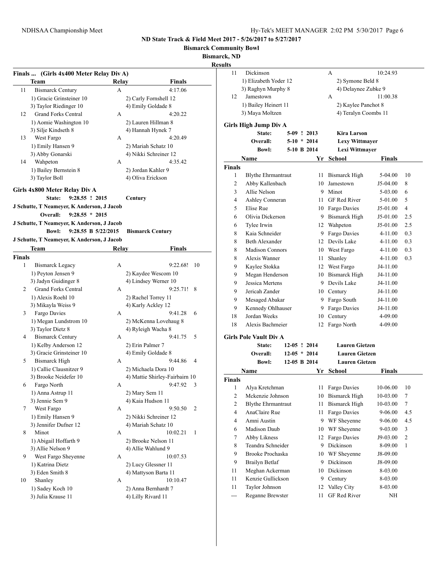**Bismarck Community Bowl**

**Bismarck, ND**

**Result** 

|               | Finals  (Girls 4x400 Meter Relay Div A)    |       |                                |   |
|---------------|--------------------------------------------|-------|--------------------------------|---|
|               | Team                                       | Relay | Finals                         |   |
| 11            | <b>Bismarck Century</b>                    | A     | 4:17.06                        |   |
|               | 1) Gracie Grinsteiner 10                   |       | 2) Carly Fornshell 12          |   |
|               | 3) Taylor Riedinger 10                     |       | 4) Emily Goldade 8             |   |
| 12            | <b>Grand Forks Central</b>                 | A     | 4:20.22                        |   |
|               | 1) Aomie Washington 10                     |       | 2) Lauren Hillman 8            | G |
|               | 3) Silje Kindseth 8                        |       | 4) Hannah Hynek 7              |   |
| 13            | West Fargo                                 | A     | 4:20.49                        |   |
|               | 1) Emily Hansen 9                          |       | 2) Mariah Schatz 10            |   |
|               | 3) Abby Gonarski                           |       | 4) Nikki Schreiner 12          |   |
| 14            | Wahpeton                                   | A     | 4:35.42                        |   |
|               | 1) Bailey Bernstein 8                      |       | 2) Jordan Kahler 9             | F |
|               | 3) Taylor Boll                             |       | 4) Oliva Erickson              |   |
|               | Girls 4x800 Meter Relay Div A              |       |                                |   |
|               | 9:28.55 ! 2015<br>State:                   |       | Century                        |   |
|               | J Schutte, T Neameyer, K Anderson, J Jacob |       |                                |   |
|               | Overall:<br>$9:28.55 * 2015$               |       |                                |   |
|               | J Schutte, T Neameyer, K Anderson, J Jacob |       |                                |   |
|               | <b>Bowl:</b><br>9:28.55 B 5/22/2015        |       | <b>Bismarck Century</b>        |   |
|               | J Schutte, T Neameyer, K Anderson, J Jacob |       |                                |   |
|               | Team                                       | Relay | Finals                         |   |
| <b>Finals</b> |                                            |       |                                |   |
| 1             | <b>Bismarck Legacy</b>                     | A     | 9:22.68!<br>10                 |   |
|               | 1) Peyton Jensen 9                         |       | 2) Kaydee Wescom 10            |   |
|               | 3) Jadyn Guidinger 8                       |       | 4) Lindsey Werner 10           |   |
|               |                                            |       |                                |   |
| 2             | <b>Grand Forks Central</b>                 | A     | 9:25.71!<br>8                  |   |
|               | 1) Alexis Roehl 10                         |       | 2) Rachel Torrey 11            |   |
|               | 3) Mikayla Weiss 9                         |       | 4) Karly Ackley 12             |   |
| 3             | Fargo Davies                               | A     | 9:41.28<br>6                   |   |
|               |                                            |       |                                |   |
|               | 1) Megan Lundstrom 10                      |       | 2) McKenna Lovehaug 8          |   |
| 4             | 3) Taylor Dietz 8                          | A     | 4) Ryleigh Wacha 8<br>5        | G |
|               | <b>Bismarck Century</b>                    |       | 9:41.75                        |   |
|               | 1) Kelby Anderson 12                       |       | 2) Erin Palmer 7               |   |
|               | 3) Gracie Grinsteiner 10                   |       | 4) Emily Goldade 8             |   |
| 5             | <b>Bismarck High</b>                       | A     | 9:44.86<br>$\overline{4}$      |   |
|               | 1) Callie Clausnitzer 9                    |       | 2) Michaela Dora 10            |   |
|               | 3) Brooke Neidefer 10                      |       | 4) Mattie Shirley-Fairbairn 10 |   |
| 6             | Fargo North                                | A     | 9:47.92<br>3                   |   |
|               | 1) Anna Astrup 11                          |       | 2) Mary Sem 11                 |   |
|               | 3) Jennie Sem 9                            |       | 4) Kaia Hudson 11              |   |
| 7             | West Fargo                                 | A     | 9:50.50<br>2                   |   |
|               | 1) Emily Hansen 9                          |       | 2) Nikki Schreiner 12          |   |
|               | 3) Jennifer Dufner 12                      |       | 4) Mariah Schatz 10            | F |
| 8             | Minot                                      | A     | 10:02.21<br>1                  |   |
|               | 1) Abigail Hoffarth 9                      |       | 2) Brooke Nelson 11            |   |
|               | 3) Allie Nelson 9                          |       | 4) Allie Wahlund 9             |   |
| 9             | West Fargo Sheyenne                        | A     | 10:07.53                       |   |
|               | 1) Katrina Dietz                           |       | 2) Lucy Glessner 11            |   |
|               | 3) Eden Smith 8                            |       | 4) Mattyson Barta 11           |   |
| 10            | Shanley                                    | A     | 10:10.47                       |   |
|               | 1) Sadey Koch 10                           |       | 2) Anna Bernhardt 7            |   |

| LUS                     |                                  |                |                                |                       |               |                |
|-------------------------|----------------------------------|----------------|--------------------------------|-----------------------|---------------|----------------|
| 11                      | Dickinson                        |                |                                | A                     | 10:24.93      |                |
|                         | 1) Elizabeth Yoder 12            |                |                                | 2) Symone Beld 8      |               |                |
|                         | 3) Raghyn Murphy 8               |                |                                | 4) Delaynee Zubke 9   |               |                |
| 12                      | Jamestown                        |                |                                | А                     | 11:00.38      |                |
|                         | 1) Bailey Heinert 11             |                |                                | 2) Kaylee Panchot 8   |               |                |
|                         | 3) Maya Moltzen                  |                |                                | 4) Teralyn Coombs 11  |               |                |
|                         | Girls High Jump Div A            |                |                                |                       |               |                |
|                         | State:                           |                |                                | Kira Larson           |               |                |
|                         | Overall:                         |                | $5-09$ ! 2013<br>$5-10 * 2014$ |                       |               |                |
|                         | <b>Bowl:</b>                     |                |                                | <b>Lexy Wittmayer</b> |               |                |
|                         |                                  |                | 5-10 B 2014                    | Lexi Wittmayer        |               |                |
|                         | Name                             |                | Yr                             | <b>School</b>         | <b>Finals</b> |                |
| Finals                  |                                  |                |                                |                       |               |                |
| $\mathbf{1}$            | <b>Blythe Ehrmantraut</b>        |                | 11                             | <b>Bismarck High</b>  | 5-04.00       | 10             |
| 2                       | Abby Kallenbach                  |                | 10                             | Jamestown             | J5-04.00      | 8              |
| 3                       | Allie Nelson                     |                |                                | 9 Minot               | 5-03.00       | 6              |
| 4                       | Ashley Conneran                  |                | 11                             | GF Red River          | 5-01.00       | 5              |
| 5                       | Elise Rue                        |                |                                | 10 Fargo Davies       | J5-01.00      | 4              |
| 6                       | Olivia Dickerson                 |                | 9.                             | Bismarck High         | J5-01.00      | 2.5            |
| 6                       | Tylee Irwin                      |                | 12                             | Wahpeton              | J5-01.00      | 2.5            |
| 8                       | Kaia Schneider                   |                | 9                              | Fargo Davies          | 4-11.00       | 0.3            |
| 8                       | <b>Beth Alexander</b>            |                |                                | 12 Devils Lake        | 4-11.00       | 0.3            |
| 8                       | <b>Madison Connors</b>           |                |                                | 10 West Fargo         | 4-11.00       | 0.3            |
| 8                       | Alexis Wanner                    |                | 11                             | Shanley               | $4 - 11.00$   | 0.3            |
| 9                       | Kaylee Stokka                    |                |                                | 12 West Fargo         | J4-11.00      |                |
| 9                       | Megan Henderson                  |                |                                | 10 Bismarck High      | J4-11.00      |                |
| 9                       | Jessica Mertens                  |                |                                | 9 Devils Lake         | J4-11.00      |                |
| 9                       | Jericah Zander                   |                |                                | 10 Century            | J4-11.00      |                |
| 9                       | Mesaged Abakar                   |                |                                | 9 Fargo South         | J4-11.00      |                |
| 9                       | Kennedy Ohlhauser                |                |                                | 9 Fargo Davies        | J4-11.00      |                |
| 18                      | Jordan Weeks                     |                | 10                             | Century               | 4-09.00       |                |
| 18                      | Alexis Bachmeier                 |                | 12                             | Fargo North           | 4-09.00       |                |
|                         |                                  |                |                                |                       |               |                |
|                         | Girls Pole Vault Div A<br>State: | $12-05$ ! 2014 |                                | <b>Lauren Gietzen</b> |               |                |
|                         | Overall:                         | $12-05 * 2014$ |                                | <b>Lauren Gietzen</b> |               |                |
|                         | <b>Bowl:</b>                     | 12-05 B 2014   |                                | <b>Lauren Gietzen</b> |               |                |
|                         |                                  |                |                                |                       |               |                |
|                         | Name                             |                | Yr                             | <b>School</b>         | Finals        |                |
| Finals                  |                                  |                |                                |                       |               |                |
|                         | 1 Alya Kretchman                 |                |                                | 11 Fargo Davies       | 10-06.00      | 10             |
| $\overline{\mathbf{c}}$ | Mckenzie Johnson                 |                | 10                             | <b>Bismarck High</b>  | 10-03.00      | 7              |
| $\boldsymbol{2}$        | <b>Blythe Ehrmantraut</b>        |                | 11                             | <b>Bismarck High</b>  | 10-03.00      | 7              |
| 4                       | AnaClaire Rue                    |                | 11                             | Fargo Davies          | 9-06.00       | 4.5            |
| $\overline{\mathbf{4}}$ | Amni Austin                      |                | 9                              | WF Sheyenne           | 9-06.00       | 4.5            |
| 6                       | Madison Daub                     |                | 10                             | WF Sheyenne           | 9-03.00       | 3              |
| 7                       | Abby Likness                     |                | 12                             | Fargo Davies          | J9-03.00      | $\overline{c}$ |
| 8                       | Teandra Schneider                |                | 9                              | Dickinson             | 8-09.00       | 1              |
| 9                       | <b>Brooke Prochaska</b>          |                | 10                             | WF Sheyenne           | J8-09.00      |                |
| 9                       | <b>Brailyn Betlaf</b>            |                | 9                              | Dickinson             | J8-09.00      |                |

11 Meghan Ackerman 10 Dickinson 8-03.00 11 Kenzie Gullickson 9 Century 8-03.00 11 Taylor Johnson 12 Valley City 8-03.00 --- Reganne Brewster 11 GF Red River NH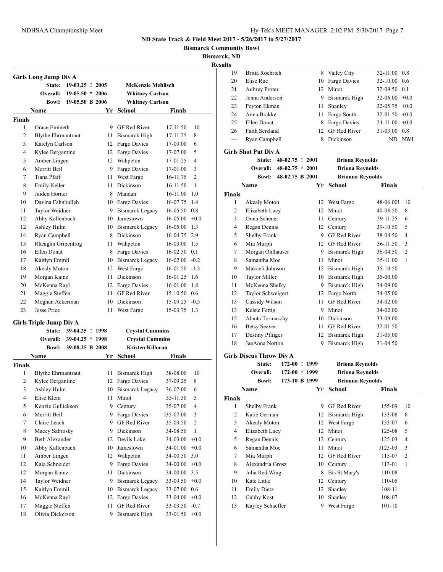**Bismarck Community Bowl**

**Bismarck, ND**

|                |                                |                          |    |                         |                 |                         | <b>Results</b> |
|----------------|--------------------------------|--------------------------|----|-------------------------|-----------------|-------------------------|----------------|
|                | Girls Long Jump Div A          |                          |    |                         |                 |                         |                |
|                |                                | State: 19-03.25 ! 2005   |    | McKenzie Mehlisch       |                 |                         |                |
|                | Overall:                       | $19-05.50 * 2006$        |    | <b>Whitney Carlson</b>  |                 |                         |                |
|                | <b>Bowl:</b>                   | 19-05.50 B 2006          |    | <b>Whitney Carlson</b>  |                 |                         |                |
|                | Name                           |                          |    | Yr School               | Finals          |                         |                |
| Finals         |                                |                          |    |                         |                 |                         |                |
| 1              | Grace Emineth                  |                          |    | 9 GF Red River          | 17-11.50        | 10                      |                |
| 2              | <b>Blythe Ehrmantraut</b>      |                          | 11 | Bismarck High           | 17-11.25        | 8                       |                |
| 3              | Katelyn Carlson                |                          | 12 | Fargo Davies            | 17-09.00        | 6                       |                |
| 4              | Kylee Bergantine               |                          | 12 | Fargo Davies            | 17-07.00        | 5                       | Gir            |
| 5              | Amber Lingen                   |                          | 12 | Wahpeton                | 17-01.25        | 4                       |                |
| 6              | Merritt Beil                   |                          | 9  | Fargo Davies            | 17-01.00        | 3                       |                |
| 7              | Tiana Pfaff                    |                          | 11 | West Fargo              | 16-11.75        | $\overline{c}$          |                |
| 8              | Emily Keller                   |                          | 11 | Dickinson               | 16-11.50        | 1                       |                |
| 9              | Jaiden Horner                  |                          | 8  | Mandan                  | 16-11.00 1.0    |                         |                |
| 10             | Davina Fahnbulleh              |                          |    | 10 Fargo Davies         | 16-07.75 1.4    |                         | Fin            |
| 11             | Taylor Weidner                 |                          |    | 9 Bismarck Legacy       | $16-05.50$ 0.8  |                         |                |
| 12             | Abby Kallenbach                |                          | 10 | Jamestown               | 16-05.00        | $+0.0$                  |                |
| 12             | Ashley Hulm                    |                          |    | 10 Bismarck Legacy      | $16-05.00$ 1.3  |                         |                |
| 14             | Ryan Campbell                  |                          | 8  | Dickinson               | 16-04.75 2.9    |                         |                |
| 15             | Rheaghn Gripentrog             |                          | 11 | Wahpeton                | 16-03.00 1.5    |                         |                |
| 16             | Ellen Donat                    |                          | 8  | Fargo Davies            | $16-02.50$ 0.1  |                         |                |
| 17             | Kaitlyn Emmil                  |                          |    | 10 Bismarck Legacy      | $16-02.00 -0.2$ |                         |                |
| 18             | Akealy Moton                   |                          | 12 | West Fargo              | $16-01.50 -1.3$ |                         |                |
| 19             | Morgan Kainz                   |                          | 11 | Dickinson               | 16-01.25 1.6    |                         |                |
| 20             | McKenna Rayl                   |                          |    | 12 Fargo Davies         | 16-01.00 1.8    |                         |                |
| 21             | Maggie Steffen                 |                          | 11 | <b>GF</b> Red River     | 15-10.50 0.6    |                         |                |
| 22             | Meghan Ackerman                |                          |    | 10 Dickinson            | $15-09.25 -0.5$ |                         |                |
| 23             | Jesse Price                    |                          | 11 | West Fargo              | 15-03.75 1.3    |                         |                |
|                |                                |                          |    |                         |                 |                         |                |
|                | <b>Girls Triple Jump Div A</b> |                          |    |                         |                 |                         |                |
|                | <b>State:</b>                  | 39-04.25 ! 1998          |    | <b>Crystal Cummins</b>  |                 |                         |                |
|                |                                | Overall: 39-04.25 * 1998 |    | <b>Crystal Cummins</b>  |                 |                         |                |
|                | <b>Bowl:</b>                   | 39-08.25 B 2008          |    | <b>Kristen Killoran</b> |                 |                         | Gir            |
|                | Name                           |                          | Yr | School                  | Finals          |                         |                |
| <b>Finals</b>  |                                |                          |    |                         |                 |                         |                |
| 1              | <b>Blythe Ehrmantraut</b>      |                          | 11 | <b>Bismarck High</b>    | 38-08.00        | 10                      |                |
| $\overline{2}$ | Kylee Bergantine               |                          | 12 | Fargo Davies            | 37-09.25        | 8                       |                |
| 3              | Ashley Hulm                    |                          |    | 10 Bismarck Legacy      | 36-07.00        | 6                       |                |
| 4              | Elise Klein                    |                          | 11 | Minot                   | 35-11.50        | 5                       |                |
| 5              | Kenzie Gullickson              |                          | 9  | Century                 | 35-07.00        | 4                       |                |
| 6              | Merritt Beil                   |                          | 9  | Fargo Davies            | J35-07.00       | 3                       |                |
| $\tau$         | Claire Leach                   |                          | 9  | GF Red River            | 35-03.50        | $\overline{\mathbf{c}}$ |                |
| 8              | Macey Sabrosky                 |                          | 9  | Dickinson               | 34-08.50        | $\mathbf{1}$            |                |
| 9              | <b>Beth Alexander</b>          |                          | 12 | Devils Lake             | 34-03.00        | $+0.0$                  |                |
| 10             | Abby Kallenbach                |                          | 10 | Jamestown               | 34-01.00        | $+0.0$                  |                |
| 11             | Amber Lingen                   |                          | 12 | Wahpeton                | 34-00.50        | 3.0                     |                |
| 12             | Kaia Schneider                 |                          | 9  | Fargo Davies            | 34-00.00        | $+0.0$                  |                |
| 12             | Morgan Kainz                   |                          | 11 | Dickinson               | 34-00.00        | 3.5                     |                |
| 14             | Taylor Weidner                 |                          | 9  | <b>Bismarck Legacy</b>  | 33-09.50        | $+0.0$                  |                |
| 15             | Kaitlyn Emmil                  |                          | 10 | <b>Bismarck Legacy</b>  | 33-07.00        | 0.6                     |                |
| 16             | McKenna Rayl                   |                          | 12 | Fargo Davies            | $33-04.00 +0.0$ |                         |                |
| 17             | Maggie Steffen                 |                          | 11 | GF Red River            | $33-03.50 -0.7$ |                         |                |
| 18             | Olivia Dickerson               |                          | 9  | Bismarck High           | $33-01.50 +0.0$ |                         |                |

| 19             | Britta Roehrich                 |                   |      | 8 Valley City           | 32-11.00        | 0.8            |
|----------------|---------------------------------|-------------------|------|-------------------------|-----------------|----------------|
| 20             | Elise Rue                       |                   |      | 10 Fargo Davies         | 32-10.00        | 0.6            |
| 21             | <b>Aubrey Porter</b>            |                   | 12   | Minot                   | 32-09.50 0.1    |                |
| 22             | Jenna Anderson                  |                   |      | 9 Bismarck High         | $32-06.00 +0.0$ |                |
| 23             | Peyton Ekman                    |                   | 11 - | Shanley                 | $32-05.75 +0.0$ |                |
| 24             | Anna Brakke                     |                   |      | 11 Fargo South          | $32-01.50 +0.0$ |                |
| 25             | Ellen Donat                     |                   |      | 8 Fargo Davies          | $31-11.00 +0.0$ |                |
| 26             | Faith Sersland                  |                   |      | 12 GF Red River         | 31-03.00 0.8    |                |
| $---$          | Ryan Campbell                   |                   |      | 8 Dickinson             |                 | ND NWI         |
|                | <b>Girls Shot Put Div A</b>     |                   |      |                         |                 |                |
|                | State:                          | 48-02.75 ! 2001   |      | <b>Briona Reynolds</b>  |                 |                |
|                | Overall:                        | $48-02.75 * 2001$ |      | <b>Briona Reynolds</b>  |                 |                |
|                | <b>Bowl:</b>                    | 48-02.75 B 2001   |      | <b>Brionna Reynolds</b> |                 |                |
|                | Name                            |                   |      | Yr School               | Finals          |                |
| Finals         |                                 |                   |      |                         |                 |                |
| 1              | Akealy Moton                    |                   |      | 12 West Fargo           | 48-06.00!       | 10             |
| 2              | Elizabeth Lucy                  |                   |      | 12 Minot                | 40-08.50        | 8              |
| 3              | Onna Scheuer                    |                   | 11 - | Century                 | 39-11.25        | 6              |
| 4              | Regan Dennis                    |                   |      | 12 Century              | 39-10.50        | 5              |
| 5              | Shelby Frank                    |                   |      | 9 GF Red River          | 38-04.50        | 4              |
| 6              | Mia Murph                       |                   |      | 12 GF Red River         | 36-11.50        | 3              |
| 7              | Morgan Ohlhauser                |                   |      | 9 Bismarck High         | 36-04.50        | $\overline{c}$ |
| 8              | Samantha Moe                    |                   | 11 - | Minot                   | 35-11.00        | 1              |
| 9              | Makaeli Johnson                 |                   |      | 12 Bismarck High        | 35-10.50        |                |
| 10             | <b>Taylor Miller</b>            |                   |      | 10 Bismarck High        | 35-00.00        |                |
| 11             | McKenna Shelky                  |                   |      | 9 Bismarck High         | 34-09.00        |                |
| 12             | Taylor Schweigert               |                   |      | 12 Fargo North          | 34-05.00        |                |
| 13             | Cassidy Wilson                  |                   | 11 - | <b>GF Red River</b>     | 34-02.00        |                |
| 13             | Kelsie Fettig                   |                   |      | 9 Minot                 | 34-02.00        |                |
| 15             | Alanta Tormaschy                |                   |      | 10 Dickinson            | 33-09.00        |                |
| 16             | <b>Betsy Seaver</b>             |                   |      | 11 GF Red River         | 32-01.50        |                |
| 17             | Destiny Pfliiger                |                   |      | 12 Bismarck High        | 31-05.00        |                |
| 18             | JaeAnna Norton                  |                   | 9.   | <b>Bismarck High</b>    | 31-04.50        |                |
|                | <b>Girls Discus Throw Div A</b> |                   |      |                         |                 |                |
|                | State:                          | 172-00 ! 1999     |      | <b>Briona Reynolds</b>  |                 |                |
|                | Overall:                        | $172-00 * 1999$   |      | <b>Briona Reynolds</b>  |                 |                |
|                | <b>Bowl:</b>                    | 173-10 B 1999     |      | <b>Brionna Reynolds</b> |                 |                |
|                | Name                            |                   | Yr   | School                  | Finals          |                |
| <b>Finals</b>  |                                 |                   |      |                         |                 |                |
| 1              | Shelby Frank                    |                   | 9    | GF Red River            | 155-09          | 10             |
| $\sqrt{2}$     | Katie German                    |                   | 12   | <b>Bismarck High</b>    | 133-08          | 8              |
| 3              | Akealy Moton                    |                   | 12   | West Fargo              | 133-07          | 6              |
| $\overline{4}$ | Elizabeth Lucy                  |                   | 12   | Minot                   | 125-08          | 5              |
| 5              | Regan Dennis                    |                   | 12   | Century                 | 125-03          | $\overline{4}$ |
| 6              | Samantha Moe                    |                   | 11   | Minot                   | J125-03         | $\mathfrak z$  |
| 7              | Mia Murph                       |                   | 12   | GF Red River            | 115-07          | $\sqrt{2}$     |
| 8              | Alexandria Grosz                |                   | 10   | Century                 | 113-01          | 1              |
| 9              | Julia Red Wing                  |                   | 8    | Bis St.Mary's           | 110-08          |                |
| 10             | Kate Little                     |                   | 12   | Century                 | 110-05          |                |
| 11             | <b>Emily Dietz</b>              |                   | 12   | Shanley                 | 108-11          |                |
| 12             | Gabby Kost                      |                   | 10   | Shanley                 | 108-07          |                |
| 13             | Kayley Schaeffer                |                   | 9    | West Fargo              | $101 - 10$      |                |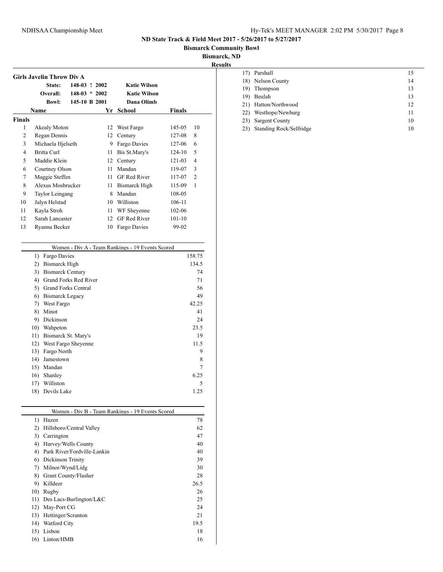## NDHSAA Championship Meet Hy-Tek's MEET MANAGER 2:02 PM 5/30/2017 Page 8

**ND State Track & Field Meet 2017 - 5/26/2017 to 5/27/2017**

**Bismarck Community Bowl**

**Bismarck, ND**

**Results**

|                | State:                           | 148-03 ! 2002            |    | <b>Katie Wilson</b>                              |               |                |
|----------------|----------------------------------|--------------------------|----|--------------------------------------------------|---------------|----------------|
|                | Overall:                         | $148-03 * 2002$          |    | <b>Katie Wilson</b>                              |               |                |
|                | <b>Bowl:</b>                     | 145-10 B 2001            |    | Dana Olimb                                       |               |                |
|                | <b>Name</b>                      |                          | Yr | <b>School</b>                                    | <b>Finals</b> |                |
| <b>Finals</b>  |                                  |                          |    |                                                  |               |                |
| 1              | Akealy Moton                     |                          |    | 12 West Fargo                                    | 145-05        | 10             |
| $\overline{2}$ | Regan Dennis                     |                          |    | 12 Century                                       | 127-08        | 8              |
| 3              | Michaela Hjelseth                |                          |    | 9 Fargo Davies                                   | 127-06        | 6              |
| 4              | <b>Britta Curl</b>               |                          | 11 | Bis St.Mary's                                    | $124 - 10$    | 5              |
| 5              | Maddie Klein                     |                          |    | 12 Century                                       | $121 - 03$    | $\overline{4}$ |
| 6              | Courtney Olson                   |                          | 11 | Mandan                                           | 119-07        | 3              |
| 7              | Maggie Steffen                   |                          | 11 | <b>GF Red River</b>                              | 117-07        | $\overline{2}$ |
| 8              | Alexus Mosbrucker                |                          |    | 11 Bismarck High                                 | 115-09        | $\mathbf{1}$   |
| 9              | Taylor Leingang                  |                          |    | 8 Mandan                                         | 108-05        |                |
| 10             | Jalyn Helstad                    |                          | 10 | Williston                                        | 106-11        |                |
| 11             | Kayla Stroh                      |                          |    | 11 WF Sheyenne                                   | $102 - 06$    |                |
| 12             | Sarah Lancaster                  |                          |    | 12 GF Red River                                  | $101 - 10$    |                |
| 13             | Ryanna Becker                    |                          |    | 10 Fargo Davies                                  | 99-02         |                |
|                |                                  |                          |    |                                                  |               |                |
|                | Fargo Davies<br>$\left( \right)$ |                          |    | Women - Div A - Team Rankings - 19 Events Scored |               | 158.75         |
|                | 2) Bismarck High                 |                          |    |                                                  |               | 134.5          |
|                | 3) Bismarck Century              |                          |    |                                                  |               | 74             |
|                |                                  | 4) Grand Forks Red River |    |                                                  |               | 71             |
|                | 5)                               | Grand Forks Central      |    |                                                  |               | 56             |
|                | 6) Bismarck Legacy               |                          |    |                                                  |               | 49             |
|                | 7) West Fargo                    |                          |    |                                                  |               | 42.25          |
|                | 8) Minot                         |                          |    |                                                  |               | 41             |
|                | Dickinson<br>9)                  |                          |    |                                                  |               | 24             |
|                | 10)<br>Wahpeton                  |                          |    |                                                  |               | 23.5           |
|                |                                  |                          |    |                                                  |               |                |

| 17) Parshall         | 15 |
|----------------------|----|
| 18) Nelson County    | 14 |
| 19) Thompson         | 13 |
| 19) Beulah           | 13 |
| 21) Hatton/Northwood | 12 |
| 22) Westhope/Newburg | 11 |
| 23) Sargent County   | 10 |

23) Standing Rock/Selfridge 10

| Women - Div B - Team Rankings - 19 Events Scored |      |
|--------------------------------------------------|------|
| Hazen                                            | 78   |
| Hillsboro/Central Valley                         | 62   |
| Carrington                                       | 47   |
| Harvey/Wells County                              | 40   |
| Park River/Fordville-Lankin                      | 40   |
| Dickinson Trinity                                | 39   |
| Milnor/Wynd/Lidg                                 | 30   |
| Grant County/Flasher                             | 28   |
| Killdeer                                         | 26.5 |
| Rugby                                            | 26   |
| Des Lacs-Burlington/L&C                          | 25   |
| May-Port CG                                      | 24   |
| Hettinger/Scranton                               | 21   |
| Watford City                                     | 19.5 |
| Lisbon                                           | 18   |
| Linton/HMB                                       | 16   |
|                                                  |      |

 $\frac{1}{2}$ 

11) Bismarck St. Mary's 19 12) West Fargo Sheyenne 11.5 13) Fargo North 9 14) Jamestown 8 15) Mandan 7 16) Shanley 6.25 17) Williston 5 18) Devils Lake 1.25